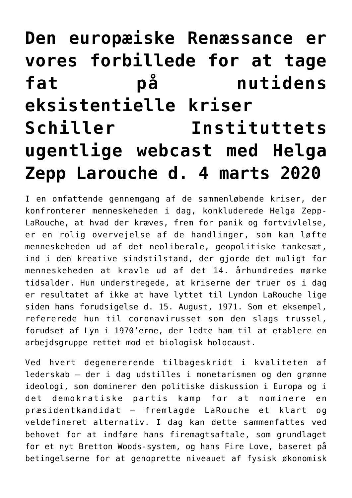## **[Den europæiske Renæssance er](https://schillerinstitut.dk/si/2020/03/den-europaeiske-renaessance-er-vores-forbillede-for-at-tage-fat-paa-nutidens-eksistentielle-kriserschiller-instituttets-ugentlige-webcast-med-helga-zepp-larouche-d-4-marts-2020/) [vores forbillede for at tage](https://schillerinstitut.dk/si/2020/03/den-europaeiske-renaessance-er-vores-forbillede-for-at-tage-fat-paa-nutidens-eksistentielle-kriserschiller-instituttets-ugentlige-webcast-med-helga-zepp-larouche-d-4-marts-2020/) [fat på nutidens](https://schillerinstitut.dk/si/2020/03/den-europaeiske-renaessance-er-vores-forbillede-for-at-tage-fat-paa-nutidens-eksistentielle-kriserschiller-instituttets-ugentlige-webcast-med-helga-zepp-larouche-d-4-marts-2020/) [eksistentielle kriser](https://schillerinstitut.dk/si/2020/03/den-europaeiske-renaessance-er-vores-forbillede-for-at-tage-fat-paa-nutidens-eksistentielle-kriserschiller-instituttets-ugentlige-webcast-med-helga-zepp-larouche-d-4-marts-2020/) [Schiller Instituttets](https://schillerinstitut.dk/si/2020/03/den-europaeiske-renaessance-er-vores-forbillede-for-at-tage-fat-paa-nutidens-eksistentielle-kriserschiller-instituttets-ugentlige-webcast-med-helga-zepp-larouche-d-4-marts-2020/) [ugentlige webcast med Helga](https://schillerinstitut.dk/si/2020/03/den-europaeiske-renaessance-er-vores-forbillede-for-at-tage-fat-paa-nutidens-eksistentielle-kriserschiller-instituttets-ugentlige-webcast-med-helga-zepp-larouche-d-4-marts-2020/) [Zepp Larouche d. 4 marts 2020](https://schillerinstitut.dk/si/2020/03/den-europaeiske-renaessance-er-vores-forbillede-for-at-tage-fat-paa-nutidens-eksistentielle-kriserschiller-instituttets-ugentlige-webcast-med-helga-zepp-larouche-d-4-marts-2020/)**

I en omfattende gennemgang af de sammenløbende kriser, der konfronterer menneskeheden i dag, konkluderede Helga Zepp-LaRouche, at hvad der kræves, frem for panik og fortvivlelse, er en rolig overvejelse af de handlinger, som kan løfte menneskeheden ud af det neoliberale, geopolitiske tankesæt, ind i den kreative sindstilstand, der gjorde det muligt for menneskeheden at kravle ud af det 14. århundredes mørke tidsalder. Hun understregede, at kriserne der truer os i dag er resultatet af ikke at have lyttet til Lyndon LaRouche lige siden hans forudsigelse d. 15. August, 1971. Som et eksempel, refererede hun til coronavirusset som den slags trussel, forudset af Lyn i 1970'erne, der ledte ham til at etablere en arbejdsgruppe rettet mod et biologisk holocaust.

Ved hvert degenererende tilbageskridt i kvaliteten af lederskab – der i dag udstilles i monetarismen og den grønne ideologi, som dominerer den politiske diskussion i Europa og i det demokratiske partis kamp for at nominere en præsidentkandidat – fremlagde LaRouche et klart og veldefineret alternativ. I dag kan dette sammenfattes ved behovet for at indføre hans firemagtsaftale, som grundlaget for et nyt Bretton Woods-system, og hans Fire Love, baseret på betingelserne for at genoprette niveauet af fysisk økonomisk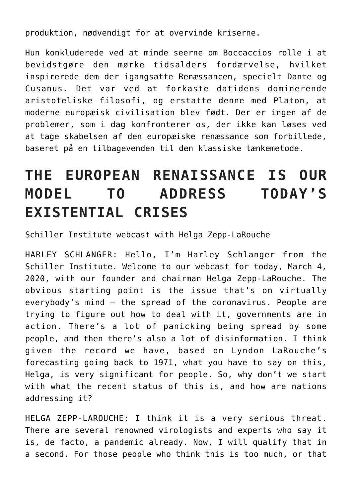produktion, nødvendigt for at overvinde kriserne.

Hun konkluderede ved at minde seerne om Boccaccios rolle i at bevidstgøre den mørke tidsalders fordærvelse, hvilket inspirerede dem der igangsatte Renæssancen, specielt Dante og Cusanus. Det var ved at forkaste datidens dominerende aristoteliske filosofi, og erstatte denne med Platon, at moderne europæisk civilisation blev født. Der er ingen af de problemer, som i dag konfronterer os, der ikke kan løses ved at tage skabelsen af den europæiske renæssance som forbillede, baseret på en tilbagevenden til den klassiske tænkemetode.

## **THE EUROPEAN RENAISSANCE IS OUR MODEL TO ADDRESS TODAY'S EXISTENTIAL CRISES**

Schiller Institute webcast with Helga Zepp-LaRouche

HARLEY SCHLANGER: Hello, I'm Harley Schlanger from the Schiller Institute. Welcome to our webcast for today, March 4, 2020, with our founder and chairman Helga Zepp-LaRouche. The obvious starting point is the issue that's on virtually everybody's mind — the spread of the coronavirus. People are trying to figure out how to deal with it, governments are in action. There's a lot of panicking being spread by some people, and then there's also a lot of disinformation. I think given the record we have, based on Lyndon LaRouche's forecasting going back to 1971, what you have to say on this, Helga, is very significant for people. So, why don't we start with what the recent status of this is, and how are nations addressing it?

HELGA ZEPP-LAROUCHE: I think it is a very serious threat. There are several renowned virologists and experts who say it is, de facto, a pandemic already. Now, I will qualify that in a second. For those people who think this is too much, or that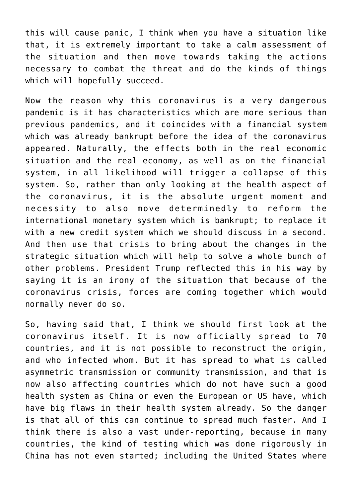this will cause panic, I think when you have a situation like that, it is extremely important to take a calm assessment of the situation and then move towards taking the actions necessary to combat the threat and do the kinds of things which will hopefully succeed.

Now the reason why this coronavirus is a very dangerous pandemic is it has characteristics which are more serious than previous pandemics, and it coincides with a financial system which was already bankrupt before the idea of the coronavirus appeared. Naturally, the effects both in the real economic situation and the real economy, as well as on the financial system, in all likelihood will trigger a collapse of this system. So, rather than only looking at the health aspect of the coronavirus, it is the absolute urgent moment and necessity to also move determinedly to reform the international monetary system which is bankrupt; to replace it with a new credit system which we should discuss in a second. And then use that crisis to bring about the changes in the strategic situation which will help to solve a whole bunch of other problems. President Trump reflected this in his way by saying it is an irony of the situation that because of the coronavirus crisis, forces are coming together which would normally never do so.

So, having said that, I think we should first look at the coronavirus itself. It is now officially spread to 70 countries, and it is not possible to reconstruct the origin, and who infected whom. But it has spread to what is called asymmetric transmission or community transmission, and that is now also affecting countries which do not have such a good health system as China or even the European or US have, which have big flaws in their health system already. So the danger is that all of this can continue to spread much faster. And I think there is also a vast under-reporting, because in many countries, the kind of testing which was done rigorously in China has not even started; including the United States where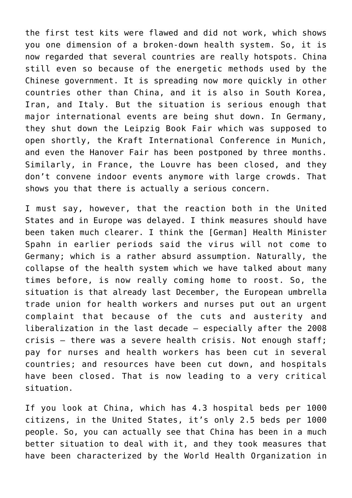the first test kits were flawed and did not work, which shows you one dimension of a broken-down health system. So, it is now regarded that several countries are really hotspots. China still even so because of the energetic methods used by the Chinese government. It is spreading now more quickly in other countries other than China, and it is also in South Korea, Iran, and Italy. But the situation is serious enough that major international events are being shut down. In Germany, they shut down the Leipzig Book Fair which was supposed to open shortly, the Kraft International Conference in Munich, and even the Hanover Fair has been postponed by three months. Similarly, in France, the Louvre has been closed, and they don't convene indoor events anymore with large crowds. That shows you that there is actually a serious concern.

I must say, however, that the reaction both in the United States and in Europe was delayed. I think measures should have been taken much clearer. I think the [German] Health Minister Spahn in earlier periods said the virus will not come to Germany; which is a rather absurd assumption. Naturally, the collapse of the health system which we have talked about many times before, is now really coming home to roost. So, the situation is that already last December, the European umbrella trade union for health workers and nurses put out an urgent complaint that because of the cuts and austerity and liberalization in the last decade — especially after the 2008 crisis — there was a severe health crisis. Not enough staff; pay for nurses and health workers has been cut in several countries; and resources have been cut down, and hospitals have been closed. That is now leading to a very critical situation.

If you look at China, which has 4.3 hospital beds per 1000 citizens, in the United States, it's only 2.5 beds per 1000 people. So, you can actually see that China has been in a much better situation to deal with it, and they took measures that have been characterized by the World Health Organization in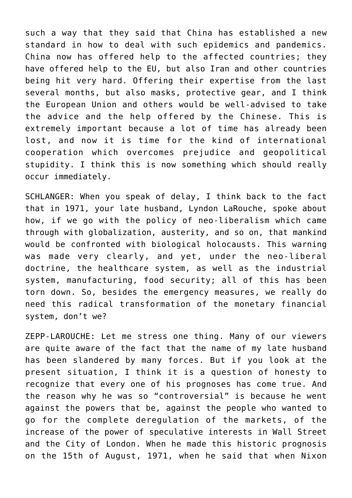such a way that they said that China has established a new standard in how to deal with such epidemics and pandemics. China now has offered help to the affected countries; they have offered help to the EU, but also Iran and other countries being hit very hard. Offering their expertise from the last several months, but also masks, protective gear, and I think the European Union and others would be well-advised to take the advice and the help offered by the Chinese. This is extremely important because a lot of time has already been lost, and now it is time for the kind of international cooperation which overcomes prejudice and geopolitical stupidity. I think this is now something which should really occur immediately.

SCHLANGER: When you speak of delay, I think back to the fact that in 1971, your late husband, Lyndon LaRouche, spoke about how, if we go with the policy of neo-liberalism which came through with globalization, austerity, and so on, that mankind would be confronted with biological holocausts. This warning was made very clearly, and yet, under the neo-liberal doctrine, the healthcare system, as well as the industrial system, manufacturing, food security; all of this has been torn down. So, besides the emergency measures, we really do need this radical transformation of the monetary financial system, don't we?

ZEPP-LAROUCHE: Let me stress one thing. Many of our viewers are quite aware of the fact that the name of my late husband has been slandered by many forces. But if you look at the present situation, I think it is a question of honesty to recognize that every one of his prognoses has come true. And the reason why he was so "controversial" is because he went against the powers that be, against the people who wanted to go for the complete deregulation of the markets, of the increase of the power of speculative interests in Wall Street and the City of London. When he made this historic prognosis on the 15th of August, 1971, when he said that when Nixon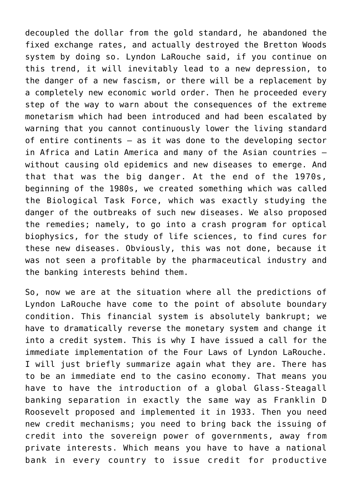decoupled the dollar from the gold standard, he abandoned the fixed exchange rates, and actually destroyed the Bretton Woods system by doing so. Lyndon LaRouche said, if you continue on this trend, it will inevitably lead to a new depression, to the danger of a new fascism, or there will be a replacement by a completely new economic world order. Then he proceeded every step of the way to warn about the consequences of the extreme monetarism which had been introduced and had been escalated by warning that you cannot continuously lower the living standard of entire continents — as it was done to the developing sector in Africa and Latin America and many of the Asian countries without causing old epidemics and new diseases to emerge. And that that was the big danger. At the end of the 1970s, beginning of the 1980s, we created something which was called the Biological Task Force, which was exactly studying the danger of the outbreaks of such new diseases. We also proposed the remedies; namely, to go into a crash program for optical biophysics, for the study of life sciences, to find cures for these new diseases. Obviously, this was not done, because it was not seen a profitable by the pharmaceutical industry and the banking interests behind them.

So, now we are at the situation where all the predictions of Lyndon LaRouche have come to the point of absolute boundary condition. This financial system is absolutely bankrupt; we have to dramatically reverse the monetary system and change it into a credit system. This is why I have issued a call for the immediate implementation of the Four Laws of Lyndon LaRouche. I will just briefly summarize again what they are. There has to be an immediate end to the casino economy. That means you have to have the introduction of a global Glass-Steagall banking separation in exactly the same way as Franklin D Roosevelt proposed and implemented it in 1933. Then you need new credit mechanisms; you need to bring back the issuing of credit into the sovereign power of governments, away from private interests. Which means you have to have a national bank in every country to issue credit for productive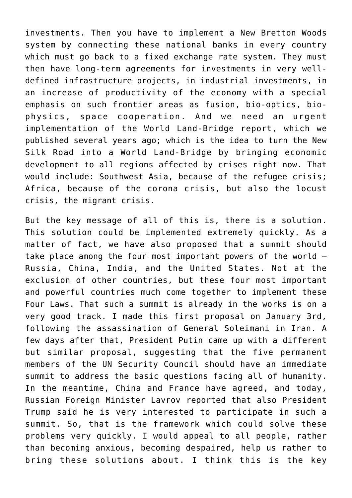investments. Then you have to implement a New Bretton Woods system by connecting these national banks in every country which must go back to a fixed exchange rate system. They must then have long-term agreements for investments in very welldefined infrastructure projects, in industrial investments, in an increase of productivity of the economy with a special emphasis on such frontier areas as fusion, bio-optics, biophysics, space cooperation. And we need an urgent implementation of the World Land-Bridge report, which we published several years ago; which is the idea to turn the New Silk Road into a World Land-Bridge by bringing economic development to all regions affected by crises right now. That would include: Southwest Asia, because of the refugee crisis; Africa, because of the corona crisis, but also the locust crisis, the migrant crisis.

But the key message of all of this is, there is a solution. This solution could be implemented extremely quickly. As a matter of fact, we have also proposed that a summit should take place among the four most important powers of the world — Russia, China, India, and the United States. Not at the exclusion of other countries, but these four most important and powerful countries much come together to implement these Four Laws. That such a summit is already in the works is on a very good track. I made this first proposal on January 3rd, following the assassination of General Soleimani in Iran. A few days after that, President Putin came up with a different but similar proposal, suggesting that the five permanent members of the UN Security Council should have an immediate summit to address the basic questions facing all of humanity. In the meantime, China and France have agreed, and today, Russian Foreign Minister Lavrov reported that also President Trump said he is very interested to participate in such a summit. So, that is the framework which could solve these problems very quickly. I would appeal to all people, rather than becoming anxious, becoming despaired, help us rather to bring these solutions about. I think this is the key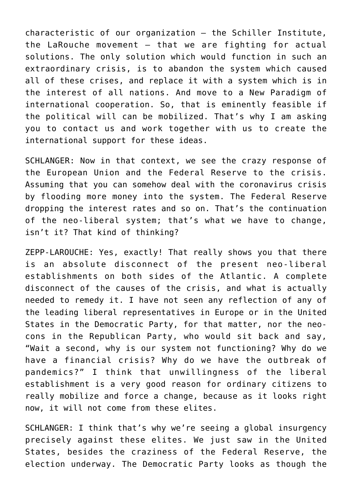characteristic of our organization — the Schiller Institute, the LaRouche movement — that we are fighting for actual solutions. The only solution which would function in such an extraordinary crisis, is to abandon the system which caused all of these crises, and replace it with a system which is in the interest of all nations. And move to a New Paradigm of international cooperation. So, that is eminently feasible if the political will can be mobilized. That's why I am asking you to contact us and work together with us to create the international support for these ideas.

SCHLANGER: Now in that context, we see the crazy response of the European Union and the Federal Reserve to the crisis. Assuming that you can somehow deal with the coronavirus crisis by flooding more money into the system. The Federal Reserve dropping the interest rates and so on. That's the continuation of the neo-liberal system; that's what we have to change, isn't it? That kind of thinking?

ZEPP-LAROUCHE: Yes, exactly! That really shows you that there is an absolute disconnect of the present neo-liberal establishments on both sides of the Atlantic. A complete disconnect of the causes of the crisis, and what is actually needed to remedy it. I have not seen any reflection of any of the leading liberal representatives in Europe or in the United States in the Democratic Party, for that matter, nor the neocons in the Republican Party, who would sit back and say, "Wait a second, why is our system not functioning? Why do we have a financial crisis? Why do we have the outbreak of pandemics?" I think that unwillingness of the liberal establishment is a very good reason for ordinary citizens to really mobilize and force a change, because as it looks right now, it will not come from these elites.

SCHLANGER: I think that's why we're seeing a global insurgency precisely against these elites. We just saw in the United States, besides the craziness of the Federal Reserve, the election underway. The Democratic Party looks as though the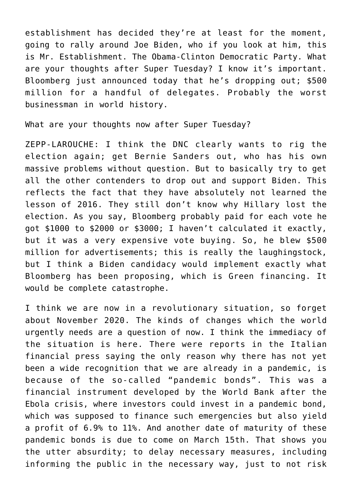establishment has decided they're at least for the moment, going to rally around Joe Biden, who if you look at him, this is Mr. Establishment. The Obama-Clinton Democratic Party. What are your thoughts after Super Tuesday? I know it's important. Bloomberg just announced today that he's dropping out; \$500 million for a handful of delegates. Probably the worst businessman in world history.

What are your thoughts now after Super Tuesday?

ZEPP-LAROUCHE: I think the DNC clearly wants to rig the election again; get Bernie Sanders out, who has his own massive problems without question. But to basically try to get all the other contenders to drop out and support Biden. This reflects the fact that they have absolutely not learned the lesson of 2016. They still don't know why Hillary lost the election. As you say, Bloomberg probably paid for each vote he got \$1000 to \$2000 or \$3000; I haven't calculated it exactly, but it was a very expensive vote buying. So, he blew \$500 million for advertisements; this is really the laughingstock, but I think a Biden candidacy would implement exactly what Bloomberg has been proposing, which is Green financing. It would be complete catastrophe.

I think we are now in a revolutionary situation, so forget about November 2020. The kinds of changes which the world urgently needs are a question of now. I think the immediacy of the situation is here. There were reports in the Italian financial press saying the only reason why there has not yet been a wide recognition that we are already in a pandemic, is because of the so-called "pandemic bonds". This was a financial instrument developed by the World Bank after the Ebola crisis, where investors could invest in a pandemic bond, which was supposed to finance such emergencies but also yield a profit of 6.9% to 11%. And another date of maturity of these pandemic bonds is due to come on March 15th. That shows you the utter absurdity; to delay necessary measures, including informing the public in the necessary way, just to not risk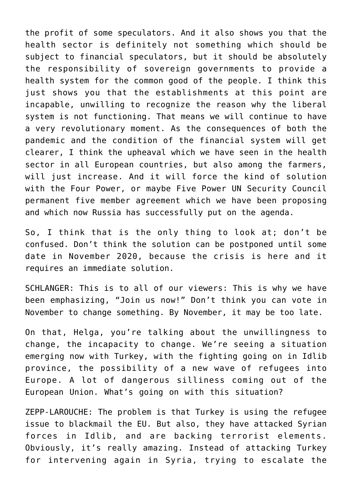the profit of some speculators. And it also shows you that the health sector is definitely not something which should be subject to financial speculators, but it should be absolutely the responsibility of sovereign governments to provide a health system for the common good of the people. I think this just shows you that the establishments at this point are incapable, unwilling to recognize the reason why the liberal system is not functioning. That means we will continue to have a very revolutionary moment. As the consequences of both the pandemic and the condition of the financial system will get clearer, I think the upheaval which we have seen in the health sector in all European countries, but also among the farmers, will just increase. And it will force the kind of solution with the Four Power, or maybe Five Power UN Security Council permanent five member agreement which we have been proposing and which now Russia has successfully put on the agenda.

So, I think that is the only thing to look at; don't be confused. Don't think the solution can be postponed until some date in November 2020, because the crisis is here and it requires an immediate solution.

SCHLANGER: This is to all of our viewers: This is why we have been emphasizing, "Join us now!" Don't think you can vote in November to change something. By November, it may be too late.

On that, Helga, you're talking about the unwillingness to change, the incapacity to change. We're seeing a situation emerging now with Turkey, with the fighting going on in Idlib province, the possibility of a new wave of refugees into Europe. A lot of dangerous silliness coming out of the European Union. What's going on with this situation?

ZEPP-LAROUCHE: The problem is that Turkey is using the refugee issue to blackmail the EU. But also, they have attacked Syrian forces in Idlib, and are backing terrorist elements. Obviously, it's really amazing. Instead of attacking Turkey for intervening again in Syria, trying to escalate the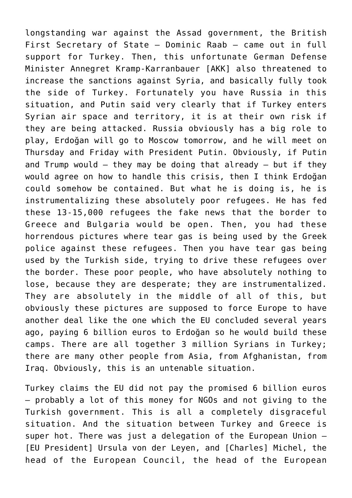longstanding war against the Assad government, the British First Secretary of State — Dominic Raab — came out in full support for Turkey. Then, this unfortunate German Defense Minister Annegret Kramp-Karranbauer [AKK] also threatened to increase the sanctions against Syria, and basically fully took the side of Turkey. Fortunately you have Russia in this situation, and Putin said very clearly that if Turkey enters Syrian air space and territory, it is at their own risk if they are being attacked. Russia obviously has a big role to play, Erdoğan will go to Moscow tomorrow, and he will meet on Thursday and Friday with President Putin. Obviously, if Putin and Trump would  $-$  they may be doing that already  $-$  but if they would agree on how to handle this crisis, then I think Erdoğan could somehow be contained. But what he is doing is, he is instrumentalizing these absolutely poor refugees. He has fed these 13-15,000 refugees the fake news that the border to Greece and Bulgaria would be open. Then, you had these horrendous pictures where tear gas is being used by the Greek police against these refugees. Then you have tear gas being used by the Turkish side, trying to drive these refugees over the border. These poor people, who have absolutely nothing to lose, because they are desperate; they are instrumentalized. They are absolutely in the middle of all of this, but obviously these pictures are supposed to force Europe to have another deal like the one which the EU concluded several years ago, paying 6 billion euros to Erdoğan so he would build these camps. There are all together 3 million Syrians in Turkey; there are many other people from Asia, from Afghanistan, from Iraq. Obviously, this is an untenable situation.

Turkey claims the EU did not pay the promised 6 billion euros — probably a lot of this money for NGOs and not giving to the Turkish government. This is all a completely disgraceful situation. And the situation between Turkey and Greece is super hot. There was just a delegation of the European Union — [EU President] Ursula von der Leyen, and [Charles] Michel, the head of the European Council, the head of the European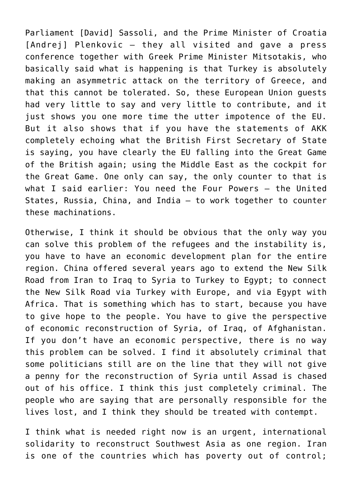Parliament [David] Sassoli, and the Prime Minister of Croatia [Andrej] Plenkovic — they all visited and gave a press conference together with Greek Prime Minister Mitsotakis, who basically said what is happening is that Turkey is absolutely making an asymmetric attack on the territory of Greece, and that this cannot be tolerated. So, these European Union guests had very little to say and very little to contribute, and it just shows you one more time the utter impotence of the EU. But it also shows that if you have the statements of AKK completely echoing what the British First Secretary of State is saying, you have clearly the EU falling into the Great Game of the British again; using the Middle East as the cockpit for the Great Game. One only can say, the only counter to that is what I said earlier: You need the Four Powers — the United States, Russia, China, and India — to work together to counter these machinations.

Otherwise, I think it should be obvious that the only way you can solve this problem of the refugees and the instability is, you have to have an economic development plan for the entire region. China offered several years ago to extend the New Silk Road from Iran to Iraq to Syria to Turkey to Egypt; to connect the New Silk Road via Turkey with Europe, and via Egypt with Africa. That is something which has to start, because you have to give hope to the people. You have to give the perspective of economic reconstruction of Syria, of Iraq, of Afghanistan. If you don't have an economic perspective, there is no way this problem can be solved. I find it absolutely criminal that some politicians still are on the line that they will not give a penny for the reconstruction of Syria until Assad is chased out of his office. I think this just completely criminal. The people who are saying that are personally responsible for the lives lost, and I think they should be treated with contempt.

I think what is needed right now is an urgent, international solidarity to reconstruct Southwest Asia as one region. Iran is one of the countries which has poverty out of control;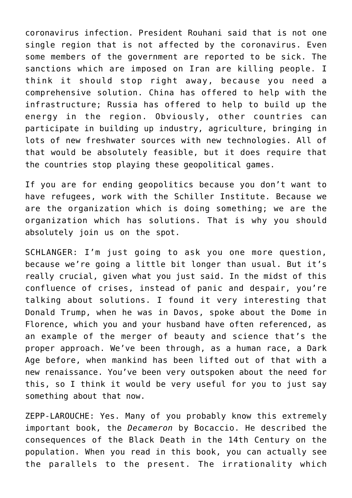coronavirus infection. President Rouhani said that is not one single region that is not affected by the coronavirus. Even some members of the government are reported to be sick. The sanctions which are imposed on Iran are killing people. I think it should stop right away, because you need a comprehensive solution. China has offered to help with the infrastructure; Russia has offered to help to build up the energy in the region. Obviously, other countries can participate in building up industry, agriculture, bringing in lots of new freshwater sources with new technologies. All of that would be absolutely feasible, but it does require that the countries stop playing these geopolitical games.

If you are for ending geopolitics because you don't want to have refugees, work with the Schiller Institute. Because we are the organization which is doing something; we are the organization which has solutions. That is why you should absolutely join us on the spot.

SCHLANGER: I'm just going to ask you one more question, because we're going a little bit longer than usual. But it's really crucial, given what you just said. In the midst of this confluence of crises, instead of panic and despair, you're talking about solutions. I found it very interesting that Donald Trump, when he was in Davos, spoke about the Dome in Florence, which you and your husband have often referenced, as an example of the merger of beauty and science that's the proper approach. We've been through, as a human race, a Dark Age before, when mankind has been lifted out of that with a new renaissance. You've been very outspoken about the need for this, so I think it would be very useful for you to just say something about that now.

ZEPP-LAROUCHE: Yes. Many of you probably know this extremely important book, the *Decameron* by Bocaccio. He described the consequences of the Black Death in the 14th Century on the population. When you read in this book, you can actually see the parallels to the present. The irrationality which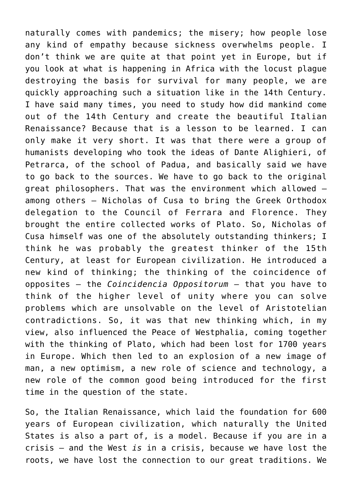naturally comes with pandemics; the misery; how people lose any kind of empathy because sickness overwhelms people. I don't think we are quite at that point yet in Europe, but if you look at what is happening in Africa with the locust plague destroying the basis for survival for many people, we are quickly approaching such a situation like in the 14th Century. I have said many times, you need to study how did mankind come out of the 14th Century and create the beautiful Italian Renaissance? Because that is a lesson to be learned. I can only make it very short. It was that there were a group of humanists developing who took the ideas of Dante Alighieri, of Petrarca, of the school of Padua, and basically said we have to go back to the sources. We have to go back to the original great philosophers. That was the environment which allowed among others — Nicholas of Cusa to bring the Greek Orthodox delegation to the Council of Ferrara and Florence. They brought the entire collected works of Plato. So, Nicholas of Cusa himself was one of the absolutely outstanding thinkers; I think he was probably the greatest thinker of the 15th Century, at least for European civilization. He introduced a new kind of thinking; the thinking of the coincidence of opposites — the *Coincidencia Oppositorum* — that you have to think of the higher level of unity where you can solve problems which are unsolvable on the level of Aristotelian contradictions. So, it was that new thinking which, in my view, also influenced the Peace of Westphalia, coming together with the thinking of Plato, which had been lost for 1700 years in Europe. Which then led to an explosion of a new image of man, a new optimism, a new role of science and technology, a new role of the common good being introduced for the first time in the question of the state.

So, the Italian Renaissance, which laid the foundation for 600 years of European civilization, which naturally the United States is also a part of, is a model. Because if you are in a crisis — and the West *is* in a crisis, because we have lost the roots, we have lost the connection to our great traditions. We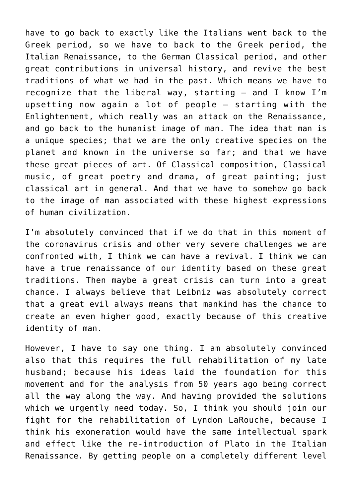have to go back to exactly like the Italians went back to the Greek period, so we have to back to the Greek period, the Italian Renaissance, to the German Classical period, and other great contributions in universal history, and revive the best traditions of what we had in the past. Which means we have to recognize that the liberal way, starting — and I know I'm upsetting now again a lot of people — starting with the Enlightenment, which really was an attack on the Renaissance, and go back to the humanist image of man. The idea that man is a unique species; that we are the only creative species on the planet and known in the universe so far; and that we have these great pieces of art. Of Classical composition, Classical music, of great poetry and drama, of great painting; just classical art in general. And that we have to somehow go back to the image of man associated with these highest expressions of human civilization.

I'm absolutely convinced that if we do that in this moment of the coronavirus crisis and other very severe challenges we are confronted with, I think we can have a revival. I think we can have a true renaissance of our identity based on these great traditions. Then maybe a great crisis can turn into a great chance. I always believe that Leibniz was absolutely correct that a great evil always means that mankind has the chance to create an even higher good, exactly because of this creative identity of man.

However, I have to say one thing. I am absolutely convinced also that this requires the full rehabilitation of my late husband; because his ideas laid the foundation for this movement and for the analysis from 50 years ago being correct all the way along the way. And having provided the solutions which we urgently need today. So, I think you should join our fight for the rehabilitation of Lyndon LaRouche, because I think his exoneration would have the same intellectual spark and effect like the re-introduction of Plato in the Italian Renaissance. By getting people on a completely different level